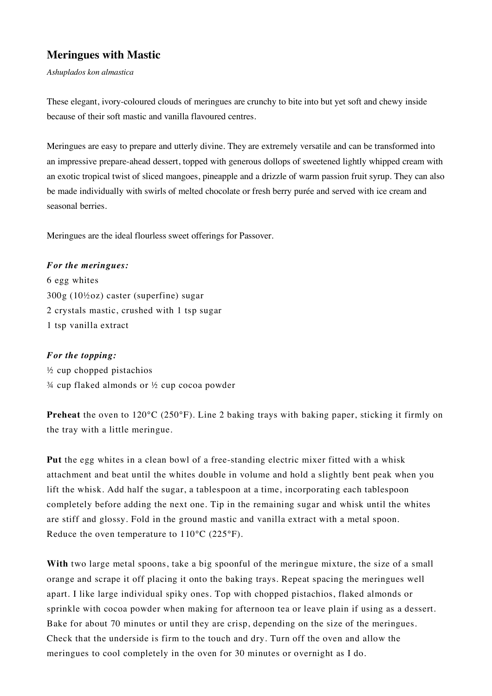# **Meringues with Mastic**

*Ashuplados kon almastica*

These elegant, ivory-coloured clouds of meringues are crunchy to bite into but yet soft and chewy inside because of their soft mastic and vanilla flavoured centres.

Meringues are easy to prepare and utterly divine. They are extremely versatile and can be transformed into an impressive prepare-ahead dessert, topped with generous dollops of sweetened lightly whipped cream with an exotic tropical twist of sliced mangoes, pineapple and a drizzle of warm passion fruit syrup. They can also be made individually with swirls of melted chocolate or fresh berry purée and served with ice cream and seasonal berries.

Meringues are the ideal flourless sweet offerings for Passover.

### *For the meringues:*

6 egg whites 300g (10½oz) caster (superfine) sugar 2 crystals mastic, crushed with 1 tsp sugar 1 tsp vanilla extract

### *For the topping:*

½ cup chopped pistachios  $\frac{3}{4}$  cup flaked almonds or  $\frac{1}{2}$  cup cocoa powder

**Preheat** the oven to 120°C (250°F). Line 2 baking trays with baking paper, sticking it firmly on the tray with a little meringue.

**Put** the egg whites in a clean bowl of a free-standing electric mixer fitted with a whisk attachment and beat until the whites double in volume and hold a slightly bent peak when you lift the whisk. Add half the sugar, a tablespoon at a time, incorporating each tablespoon completely before adding the next one. Tip in the remaining sugar and whisk until the whites are stiff and glossy. Fold in the ground mastic and vanilla extract with a metal spoon. Reduce the oven temperature to 110°C (225°F).

**With** two large metal spoons, take a big spoonful of the meringue mixture, the size of a small orange and scrape it off placing it onto the baking trays. Repeat spacing the meringues well apart. I like large individual spiky ones. Top with chopped pistachios, flaked almonds or sprinkle with cocoa powder when making for afternoon tea or leave plain if using as a dessert. Bake for about 70 minutes or until they are crisp, depending on the size of the meringues. Check that the underside is firm to the touch and dry. Turn off the oven and allow the meringues to cool completely in the oven for 30 minutes or overnight as I do.